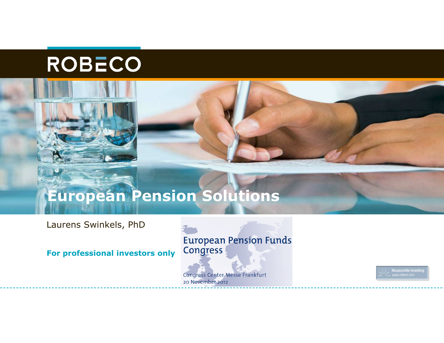

# **European Pension Solutions**

Laurens Swinkels, PhD

**For professional investors only**

**European Pension Funds** Congress

**Congress Center Messe Frankfurt** 20 November 2012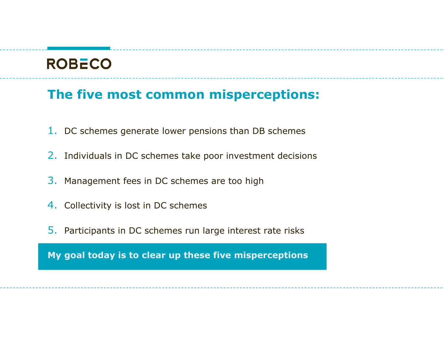#### **The five most common misperceptions:**

- $1.$  DC schemes generate lower pensions than DB schemes
- 2. Individuals in DC schemes take poor investment decisions
- 3. Management fees in DC schemes are too high
- 4. Collectivity is lost in DC schemes
- 5. Participants in DC schemes run large interest rate risks

**My goal today is to clear up these five misperceptions**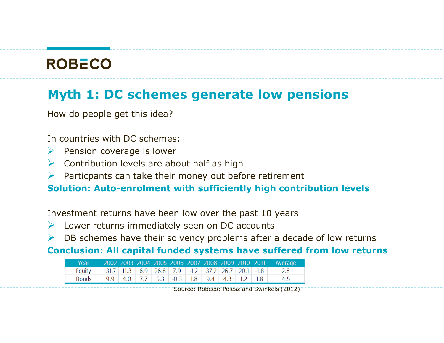#### **Myth 1: DC schemes generate low pensions**

How do people get this idea?

In countries with DC schemes:

- $\triangleright$  Pension coverage is lower
- $\triangleright$  Contribution levels are about half as high
- $\blacktriangleright$ Particpants can take their money out before retirement

**Solution: Auto-enrolment with sufficiently high contribution levels**

Investment returns have been low over the past 10 years

- ▶ Lower returns immediately seen on DC accounts
- $\triangleright$  DB schemes have their solvency problems after a decade of low returns

**Conclusion: All capital funded systems have suffered from low returns**

| Year   |  |  |  |  |  | 2002 2003 2004 2005 2006 2007 2008 2009 2010 2011 Average                                                                            |
|--------|--|--|--|--|--|--------------------------------------------------------------------------------------------------------------------------------------|
| Equity |  |  |  |  |  | $\vert$ -31.7   11.3   6.9   26.8   7.9   -1.2   -37.2   26.7   20.1   -1.8   2.8                                                    |
| Bonds  |  |  |  |  |  | $\vert$ 9.9 $\vert$ 4.0 $\vert$ 7.7 $\vert$ 5.3 $\vert$ -0.3 $\vert$ 1.8 $\vert$ 9.4 $\vert$ 4.3 $\vert$ 1.2 $\vert$ 1.8 $\vert$ 4.5 |

Source: Robeco; Poiesz and Swinkels (2012)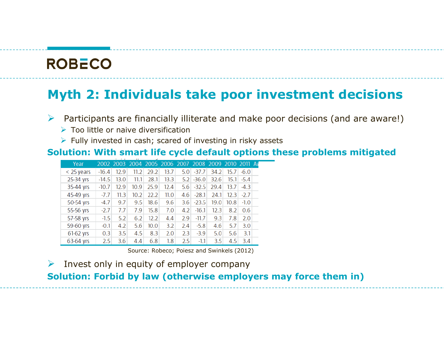#### **Myth 2: Individuals take poor investment decisions**

 $\blacktriangleright$ Participants are financially illiterate and make poor decisions (and are aware!)

- ▶ Too little or naive diversification
- > Fully invested in cash; scared of investing in risky assets

#### **Solution: With smart life cycle default options these problems mitigated**

| Year         |         |      | 2002 2003 2004 2005 2006 2007 2008 2009 2010 2011 AV |      |      |     |             |      |      |        |  |
|--------------|---------|------|------------------------------------------------------|------|------|-----|-------------|------|------|--------|--|
| $<$ 25 years | $-16.4$ | 12.9 | 11.2                                                 | 29.2 | 13.7 |     | $5.0$ -37.7 | 34.2 | 15.7 | $-6.0$ |  |
| 25-34 yrs    | $-14.5$ | 13.0 | 11.1                                                 | 28.1 | 13.3 | 5.2 | $-36.0$     | 32.6 | 15.1 | $-5.4$ |  |
| 35-44 yrs    | $-10.7$ | 12.9 | 10.9                                                 | 25.9 | 12.4 | 5.6 | $-32.5$     | 29.4 | 13.7 | $-4.3$ |  |
| 45-49 yrs    | $-7.7$  | 11.3 | 10.2                                                 | 22.2 | 11.0 | 4.6 | $-28.1$     | 24.1 | 12.3 | $-2.7$ |  |
| 50-54 yrs    | $-4.7$  | 9.7  | 9.5                                                  | 18.6 | 9.6  | 3.6 | $-23.5$     | 19.0 | 10.8 | $-1.0$ |  |
| 55-56 yrs    | $-2.7$  | 7.7  | 7.9                                                  | 15.8 | 7.0  | 4.2 | $-16.1$     | 12.3 | 8.2  | 0.6    |  |
| 57-58 yrs    | $-1.5$  | 5.2  | 6.2                                                  | 12.2 | 4.4  | 2.9 | $-11.7$     | 9.3  | 7.8  | 2.0    |  |
| 59-60 yrs    | $-0.1$  | 4.2  | 5.6                                                  | 10.0 | 3.2  | 2.4 | $-5.8$      | 4.6  | 5.7  | 3.0    |  |
| 61-62 yrs    | 0.3     | 3.5  | 4.5                                                  | 8.3  | 2.0  | 2.3 | $-3.9$      | 5.0  | 5.6  | 3.1    |  |
| 63-64 yrs    | 2.5     | 3.6  | 4.4                                                  | 6.8  | 1.8  | 2.5 | $-1.1$      | 3.5  | 4.5  | 3.4    |  |

Source: Robeco; Poiesz and Swinkels (2012)

 $\blacktriangleright$ Invest only in equity of employer company

## **Solution: Forbid by law (otherwise employers may force them in)**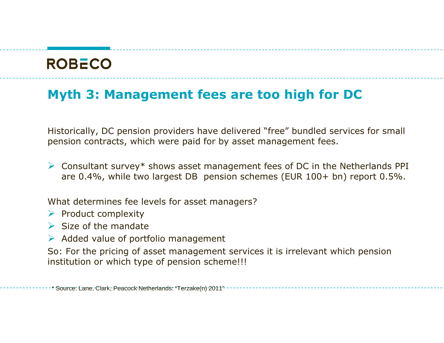#### **Myth 3: Management fees are too high for DC**

Historically, DC pension providers have delivered "free" bundled services for small pension contracts, which were paid for by asset management fees.

Consultant survey\* shows asset management fees of DC in the Netherlands PPI<br>are 0.4% while two largest DB, pension schemes (FUR 100+ bn) report 0.5% are 0.4%, while two largest DB pension schemes (EUR 100+ bn) report 0.5%.

What determines fee levels for asset managers?

- $\rho$  Product complexity
- $\triangleright$  Size of the mandate
- Added value of portfolio management

So: For the pricing of asset management services it is irrelevant which pension institution or which type of pension scheme!!!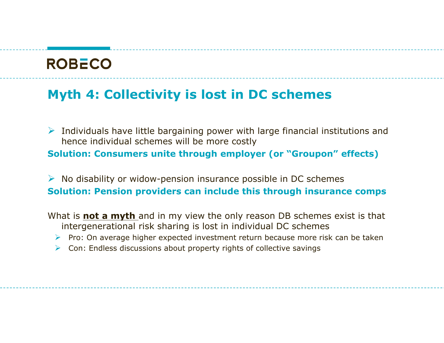#### **Myth 4: Collectivity is lost in DC schemes**

Individuals have little bargaining power with large financial institutions and<br>hence individual schemes will be more costly hence individual schemes will be more costly **Solution: Consumers unite through employer (or "Groupon" effects)**

A No disability or widow-pension insurance possible in DC schemes **Solution: Pension providers can include this through insurance comps**

What is **not a myth** and in my view the only reason DB schemes exist is that intergenerational risk sharing is lost in individual DC schemes

- Pro: On average higher expected investment return because more risk can be taken<br>
Can: Endless discussions about property rights of sollective savings
- ▶ Con: Endless discussions about property rights of collective savings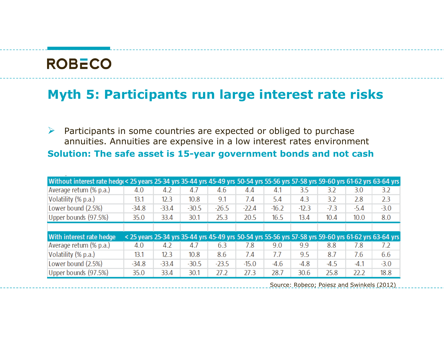#### **Myth 5: Participants run large interest rate risks**

 $\blacktriangleright$  Participants in some countries are expected or obliged to purchase annuities. Annuities are expensive in a low interest rates environment **Solution: The safe asset is 15-year government bonds and not cash**

| Without interest rate hedge< 25 years 25-34 yrs 35-44 yrs 45-49 yrs 50-54 yrs 55-56 yrs 57-58 yrs 59-60 yrs 61-62 yrs 63-64 yrs |         |         |         |         |         |         |         |        |        |                                                                                                      |
|---------------------------------------------------------------------------------------------------------------------------------|---------|---------|---------|---------|---------|---------|---------|--------|--------|------------------------------------------------------------------------------------------------------|
| Average return (% p.a.)                                                                                                         | 4.0     | 4.2     | 4.7     | 4.6     | 4.4     | 4.1     | 3.5     | 3.2    | 3.0    | 3.2                                                                                                  |
| Volatility (% p.a.)                                                                                                             | 13.1    | 12.3    | 10.8    | 9.1     | 7.4     | 5.4     | 4.3     | 3.2    | 2.8    | 2.3                                                                                                  |
| Lower bound (2.5%)                                                                                                              | $-34.8$ | $-33.4$ | $-30.5$ | $-26.5$ | $-22.4$ | $-16.2$ | $-12.3$ | $-7.3$ | $-5.4$ | $-3.0$                                                                                               |
| Upper bounds (97.5%)                                                                                                            | 35.0    | 33.4    | 30.1    | 25.3    | 20.5    | 16.5    | 13.4    | 10.4   | 10.0   | 8.0                                                                                                  |
|                                                                                                                                 |         |         |         |         |         |         |         |        |        |                                                                                                      |
| With interest rate hedge                                                                                                        |         |         |         |         |         |         |         |        |        | < 25 years 25-34 yrs 35-44 yrs 45-49 yrs 50-54 yrs 55-56 yrs 57-58 yrs 59-60 yrs 61-62 yrs 63-64 yrs |
| Average return (% p.a.)                                                                                                         | 4.0     | 4.2     | 4.7     | 6.3     | 7.8     | 9.0     | 9.9     | 8.8    | 7.8    | 7.2                                                                                                  |
| Volatility (% p.a.)                                                                                                             | 13.1    | 12.3    | 10.8    | 8.6     | 7.4     | 7.7     | 9.5     | 8.7    | 7.6    | 6.6                                                                                                  |
| Lower bound (2.5%)                                                                                                              | $-34.8$ | $-33.4$ | $-30.5$ | $-23.5$ | $-15.0$ | $-4.6$  | $-4.8$  | $-4.5$ | $-4.1$ | $-3.0$                                                                                               |
|                                                                                                                                 |         |         |         |         |         |         |         |        |        |                                                                                                      |

Source: Robeco; Poiesz and Swinkels (2012)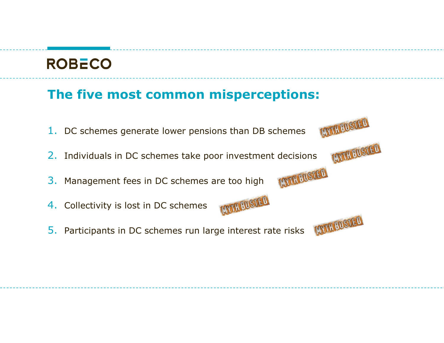### **The five most common misperceptions:**

LATH BUSTED  $1.$  DC schemes generate lower pensions than DB schemes LOUTH BUSTED 2. Individuals in DC schemes take poor investment decisionsLATH FIRED 3. Management fees in DC schemes are too high**CONTREUSTED** 4. Collectivity is lost in DC schemes**EDTHEOSTED** 5. Participants in DC schemes run large interest rate risks